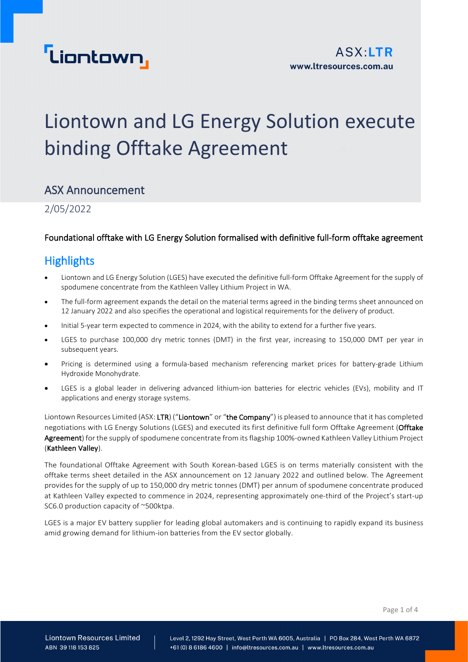

## Liontown and LG Energy Solution execute binding Offtake Agreement

## ASX Announcement

2/05/2022

### Foundational offtake with LG Energy Solution formalised with definitive full-form offtake agreement

## **Highlights**

- Liontown and LG Energy Solution (LGES) have executed the definitive full-form Offtake Agreement for the supply of spodumene concentrate from the Kathleen Valley Lithium Project in WA.
- The full-form agreement expands the detail on the material terms agreed in the binding terms sheet announced on 12 January 2022 and also specifies the operational and logistical requirements for the delivery of product.
- Initial 5-year term expected to commence in 2024, with the ability to extend for a further five years.
- LGES to purchase 100,000 dry metric tonnes (DMT) in the first year, increasing to 150,000 DMT per year in subsequent years.
- Pricing is determined using a formula-based mechanism referencing market prices for battery-grade Lithium Hydroxide Monohydrate.
- LGES is a global leader in delivering advanced lithium-ion batteries for electric vehicles (EVs), mobility and IT applications and energy storage systems.

Liontown Resources Limited (ASX: LTR) ("Liontown" or "the Company") is pleased to announce that it has completed negotiations with LG Energy Solutions (LGES) and executed its first definitive full form Offtake Agreement (Offtake Agreement) for the supply of spodumene concentrate from its flagship 100%-owned Kathleen Valley Lithium Project (Kathleen Valley).

The foundational Offtake Agreement with South Korean-based LGES is on terms materially consistent with the offtake terms sheet detailed in the ASX announcement on 12 January 2022 and outlined below. The Agreement provides for the supply of up to 150,000 dry metric tonnes (DMT) per annum of spodumene concentrate produced at Kathleen Valley expected to commence in 2024, representing approximately one-third of the Project's start-up SC6.0 production capacity of ~500ktpa.

LGES is a major EV battery supplier for leading global automakers and is continuing to rapidly expand its business amid growing demand for lithium-ion batteries from the EV sector globally.

Page 1 of 4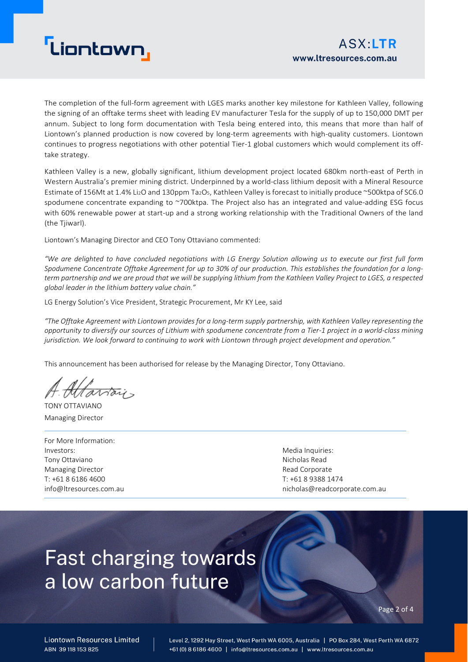# **Liontown**

The completion of the full-form agreement with LGES marks another key milestone for Kathleen Valley, following the signing of an offtake terms sheet with leading EV manufacturer Tesla for the supply of up to 150,000 DMT per annum. Subject to long form documentation with Tesla being entered into, this means that more than half of Liontown's planned production is now covered by long-term agreements with high-quality customers. Liontown continues to progress negotiations with other potential Tier-1 global customers which would complement its offtake strategy.

Kathleen Valley is a new, globally significant, lithium development project located 680km north-east of Perth in Western Australia's premier mining district. Underpinned by a world-class lithium deposit with a Mineral Resource Estimate of 156Mt at 1.4% Li<sub>2</sub>O and 130ppm Ta<sub>2</sub>O<sub>5</sub>, Kathleen Valley is forecast to initially produce ~500ktpa of SC6.0 spodumene concentrate expanding to ~700ktpa. The Project also has an integrated and value-adding ESG focus with 60% renewable power at start-up and a strong working relationship with the Traditional Owners of the land (the Tjiwarl).

Liontown's Managing Director and CEO Tony Ottaviano commented:

*"We are delighted to have concluded negotiations with LG Energy Solution allowing us to execute our first full form Spodumene Concentrate Offtake Agreement for up to 30% of our production. This establishes the foundation for a longterm partnership and we are proud that we will be supplying lithium from the Kathleen Valley Project to LGES, a respected global leader in the lithium battery value chain."*

LG Energy Solution's Vice President, Strategic Procurement, Mr KY Lee, said

*"The Offtake Agreement with Liontown provides for a long-term supply partnership, with Kathleen Valley representing the opportunity to diversify our sources of Lithium with spodumene concentrate from a Tier-1 project in a world-class mining jurisdiction. We look forward to continuing to work with Liontown through project development and operation."*

This announcement has been authorised for release by the Managing Director, Tony Ottaviano.

TONY OTTAVIANO Managing Director

For More Information: Investors: Tony Ottaviano Managing Director T: +61 8 6186 4600 info@ltresources.com.au

Media Inquiries: Nicholas Read Read Corporate T: +61 8 9388 1474 nicholas@readcorporate.com.au

# **Fast charging towards** a low carbon future

Page 2 of 4

**Liontown Resources Limited** ARN 39118153825

Level 2, 1292 Hay Street, West Perth WA 6005, Australia | PO Box 284, West Perth WA 6872 +61 (0) 8 6186 4600 | info@ltresources.com.au | www.ltresources.com.au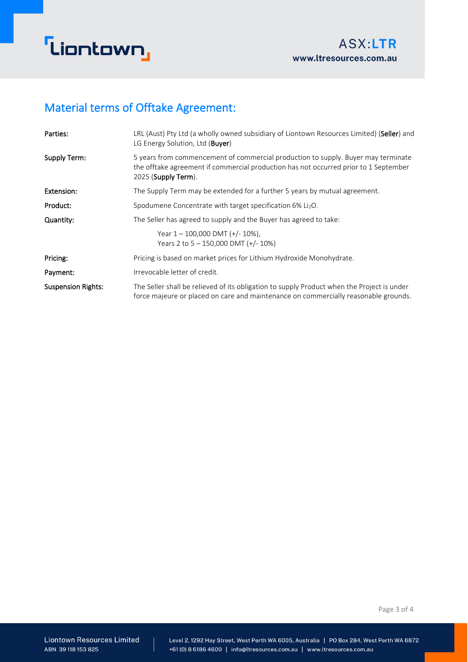

## Material terms of Offtake Agreement:

| Parties:                  | LRL (Aust) Pty Ltd (a wholly owned subsidiary of Liontown Resources Limited) (Seller) and<br>LG Energy Solution, Ltd (Buyer)                                                                     |  |  |
|---------------------------|--------------------------------------------------------------------------------------------------------------------------------------------------------------------------------------------------|--|--|
| Supply Term:              | 5 years from commencement of commercial production to supply. Buyer may terminate<br>the offtake agreement if commercial production has not occurred prior to 1 September<br>2025 (Supply Term). |  |  |
| Extension:                | The Supply Term may be extended for a further 5 years by mutual agreement.                                                                                                                       |  |  |
| Product:                  | Spodumene Concentrate with target specification 6% Li <sub>2</sub> O.                                                                                                                            |  |  |
| Quantity:                 | The Seller has agreed to supply and the Buyer has agreed to take:                                                                                                                                |  |  |
|                           | Year $1 - 100,000$ DMT $(+/- 10\%)$ ,<br>Years 2 to $5 - 150,000$ DMT (+/- 10%)                                                                                                                  |  |  |
| Pricing:                  | Pricing is based on market prices for Lithium Hydroxide Monohydrate.                                                                                                                             |  |  |
| Payment:                  | Irrevocable letter of credit.                                                                                                                                                                    |  |  |
| <b>Suspension Rights:</b> | The Seller shall be relieved of its obligation to supply Product when the Project is under<br>force majeure or placed on care and maintenance on commercially reasonable grounds.                |  |  |

Page 3 of 4